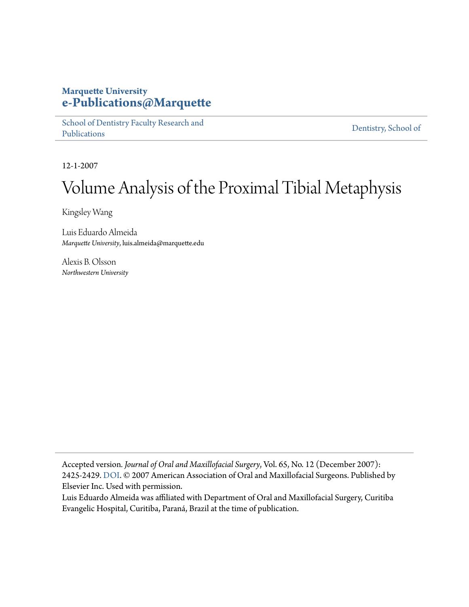#### **Marquette University [e-Publications@Marquette](https://epublications.marquette.edu)**

[School of Dentistry Faculty Research and](https://epublications.marquette.edu/dentistry_fac) [Publications](https://epublications.marquette.edu/dentistry_fac)

[Dentistry, School of](https://epublications.marquette.edu/dentistry)

12-1-2007

# Volume Analysis of the Proximal Tibial Metaphysis

Kingsley Wang

Luis Eduardo Almeida *Marquette University*, luis.almeida@marquette.edu

Alexis B. Olsson *Northwestern University*

Accepted version*. Journal of Oral and Maxillofacial Surgery*, Vol. 65, No. 12 (December 2007): 2425-2429. [DOI](https://doi.org/10.1016/j.joms.2007.04.009). © 2007 American Association of Oral and Maxillofacial Surgeons. Published by Elsevier Inc. Used with permission.

Luis Eduardo Almeida was affiliated with Department of Oral and Maxillofacial Surgery, Curitiba Evangelic Hospital, Curitiba, Paraná, Brazil at the time of publication.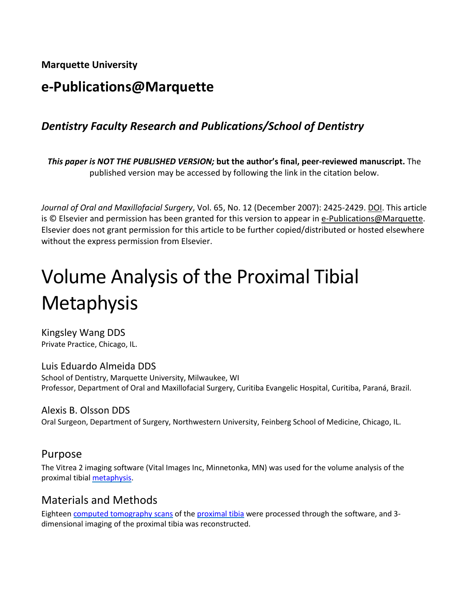**Marquette University**

# **e-Publications@Marquette**

## *Dentistry Faculty Research and Publications/School of Dentistry*

*This paper is NOT THE PUBLISHED VERSION;* **but the author's final, peer-reviewed manuscript.** The published version may be accessed by following the link in the citation below.

*Journal of Oral and Maxillofacial Surgery*, Vol. 65, No. 12 (December 2007): 2425-2429. DOI. This article is © Elsevier and permission has been granted for this version to appear i[n e-Publications@Marquette.](http://epublications.marquette.edu/) Elsevier does not grant permission for this article to be further copied/distributed or hosted elsewhere without the express permission from Elsevier.

# Volume Analysis of the Proximal Tibial **Metaphysis**

Kingsley Wang DDS Private Practice, Chicago, IL.

Luis Eduardo Almeida DDS School of Dentistry, Marquette University, Milwaukee, WI Professor, Department of Oral and Maxillofacial Surgery, Curitiba Evangelic Hospital, Curitiba, Paraná, Brazil.

Alexis B. Olsson DDS Oral Surgeon, Department of Surgery, Northwestern University, Feinberg School of Medicine, Chicago, IL.

#### Purpose

The Vitrea 2 imaging software (Vital Images Inc, Minnetonka, MN) was used for the volume analysis of the proximal tibia[l metaphysis.](https://www.sciencedirect.com/topics/medicine-and-dentistry/metaphysis)

#### Materials and Methods

Eightee[n computed tomography scans](https://www.sciencedirect.com/topics/medicine-and-dentistry/computer-assisted-tomography) of the [proximal tibia](https://www.sciencedirect.com/topics/medicine-and-dentistry/proximal-tibia) were processed through the software, and 3dimensional imaging of the proximal tibia was reconstructed.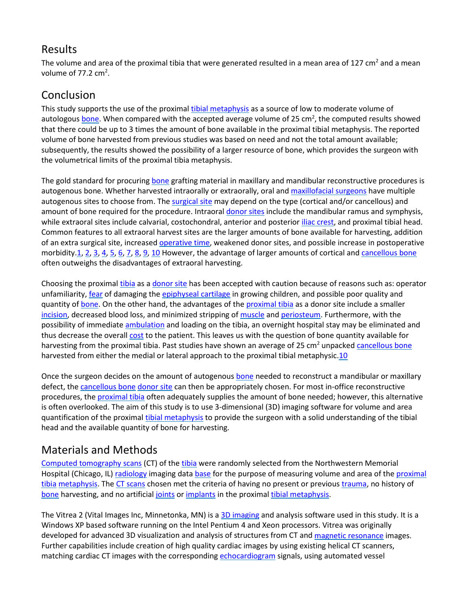#### Results

The volume and area of the proximal tibia that were generated resulted in a mean area of 127 cm<sup>2</sup> and a mean volume of  $77.2 \text{ cm}^2$ .

# Conclusion

This study supports the use of the proxima[l tibial metaphysis](https://www.sciencedirect.com/topics/medicine-and-dentistry/tibial-metaphysis) as a source of low to moderate volume of autologou[s bone.](https://www.sciencedirect.com/topics/medicine-and-dentistry/bone) When compared with the accepted average volume of 25 cm<sup>2</sup>, the computed results showed that there could be up to 3 times the amount of bone available in the proximal tibial metaphysis. The reported volume of bone harvested from previous studies was based on need and not the total amount available; subsequently, the results showed the possibility of a larger resource of bone, which provides the surgeon with the volumetrical limits of the proximal tibia metaphysis.

The gold standard for procuring [bone](https://www.sciencedirect.com/topics/medicine-and-dentistry/bone) grafting material in maxillary and mandibular reconstructive procedures is autogenous bone. Whether harvested intraorally or extraorally, oral and [maxillofacial surgeons](https://www.sciencedirect.com/topics/medicine-and-dentistry/maxillofacial-surgeon) have multiple autogenous sites to choose from. Th[e surgical site](https://www.sciencedirect.com/topics/medicine-and-dentistry/surgical-sites) may depend on the type (cortical and/or cancellous) and amount of bone required for the procedure. Intraora[l donor sites](https://www.sciencedirect.com/topics/medicine-and-dentistry/donor-site) include the mandibular ramus and symphysis, while extraoral sites include calvarial, costochondral, anterior and posterior [iliac crest,](https://www.sciencedirect.com/topics/medicine-and-dentistry/iliac-crest) and proximal tibial head. Common features to all extraoral harvest sites are the larger amounts of bone available for harvesting, addition of an extra surgical site, increased [operative time,](https://www.sciencedirect.com/topics/medicine-and-dentistry/operation-duration) weakened donor sites, and possible increase in postoperative morbidity[.1,](https://www.sciencedirect.com/science/article/pii/S0278239107004776?via%3Dihub#bib1) [2,](https://www.sciencedirect.com/science/article/pii/S0278239107004776?via%3Dihub#bib2) [3,](https://www.sciencedirect.com/science/article/pii/S0278239107004776?via%3Dihub#bib3) [4,](https://www.sciencedirect.com/science/article/pii/S0278239107004776?via%3Dihub#bib4) [5,](https://www.sciencedirect.com/science/article/pii/S0278239107004776?via%3Dihub#bib5) [6,](https://www.sciencedirect.com/science/article/pii/S0278239107004776?via%3Dihub#bib6) [7,](https://www.sciencedirect.com/science/article/pii/S0278239107004776?via%3Dihub#bib7) [8,](https://www.sciencedirect.com/science/article/pii/S0278239107004776?via%3Dihub#bib8) [9,](https://www.sciencedirect.com/science/article/pii/S0278239107004776?via%3Dihub#bib9) [10](https://www.sciencedirect.com/science/article/pii/S0278239107004776?via%3Dihub#bib10) However, the advantage of larger amounts of cortical and [cancellous bone](https://www.sciencedirect.com/topics/medicine-and-dentistry/cancellous-bone) often outweighs the disadvantages of extraoral harvesting.

Choosing the proxima[l tibia](https://www.sciencedirect.com/topics/medicine-and-dentistry/tibia) as a [donor site](https://www.sciencedirect.com/topics/medicine-and-dentistry/donor-site) has been accepted with caution because of reasons such as: operator unfamiliarity, [fear](https://www.sciencedirect.com/topics/medicine-and-dentistry/fear) of damaging the [epiphyseal cartilage](https://www.sciencedirect.com/topics/medicine-and-dentistry/epiphyseal-cartilage) in growing children, and possible poor quality and quantity o[f bone.](https://www.sciencedirect.com/topics/medicine-and-dentistry/bone) On the other hand, the advantages of th[e proximal tibia](https://www.sciencedirect.com/topics/medicine-and-dentistry/proximal-tibia) as a donor site include a smaller [incision,](https://www.sciencedirect.com/topics/medicine-and-dentistry/incision) decreased blood loss, and minimized stripping of [muscle](https://www.sciencedirect.com/topics/medicine-and-dentistry/muscle) and [periosteum.](https://www.sciencedirect.com/topics/medicine-and-dentistry/periosteum) Furthermore, with the possibility of immediat[e ambulation](https://www.sciencedirect.com/topics/medicine-and-dentistry/mobilization) and loading on the tibia, an overnight hospital stay may be eliminated and thus decrease the overall [cost](https://www.sciencedirect.com/topics/medicine-and-dentistry/health-care-cost) to the patient. This leaves us with the question of bone quantity available for harvesting from the proximal tibia. Past studies have shown an average of 25 cm<sup>2</sup> unpacked [cancellous bone](https://www.sciencedirect.com/topics/medicine-and-dentistry/cancellous-bone) harvested from either the medial or lateral approach to the proximal tibial metaphysic[.10](https://www.sciencedirect.com/science/article/pii/S0278239107004776?via%3Dihub#bib10)

Once the surgeon decides on the amount of autogenous [bone](https://www.sciencedirect.com/topics/medicine-and-dentistry/bone) needed to reconstruct a mandibular or maxillary defect, the [cancellous bone](https://www.sciencedirect.com/topics/medicine-and-dentistry/cancellous-bone) [donor site](https://www.sciencedirect.com/topics/medicine-and-dentistry/donor-site) can then be appropriately chosen. For most in-office reconstructive procedures, th[e proximal tibia](https://www.sciencedirect.com/topics/medicine-and-dentistry/proximal-tibia) often adequately supplies the amount of bone needed; however, this alternative is often overlooked. The aim of this study is to use 3-dimensional (3D) imaging software for volume and area quantification of the proxima[l tibial metaphysis](https://www.sciencedirect.com/topics/medicine-and-dentistry/tibial-metaphysis) to provide the surgeon with a solid understanding of the tibial head and the available quantity of bone for harvesting.

### Materials and Methods

[Computed tomography scans](https://www.sciencedirect.com/topics/medicine-and-dentistry/computer-assisted-tomography) (CT) of the [tibia](https://www.sciencedirect.com/topics/medicine-and-dentistry/tibia) were randomly selected from the Northwestern Memorial Hospital (Chicago, IL) [radiology](https://www.sciencedirect.com/topics/medicine-and-dentistry/radiology) imaging dat[a base](https://www.sciencedirect.com/topics/medicine-and-dentistry/base) for the purpose of measuring volume and area of the proximal [tibia](https://www.sciencedirect.com/topics/medicine-and-dentistry/proximal-tibia) [metaphysis.](https://www.sciencedirect.com/topics/medicine-and-dentistry/metaphysis) Th[e CT scans](https://www.sciencedirect.com/topics/medicine-and-dentistry/x-ray-computed-tomography) chosen met the criteria of having no present or previous [trauma,](https://www.sciencedirect.com/topics/medicine-and-dentistry/injury) no history of [bone](https://www.sciencedirect.com/topics/medicine-and-dentistry/bone) harvesting, and no artificial [joints](https://www.sciencedirect.com/topics/medicine-and-dentistry/joint) o[r implants](https://www.sciencedirect.com/topics/medicine-and-dentistry/implant) in the proximal [tibial metaphysis.](https://www.sciencedirect.com/topics/medicine-and-dentistry/tibial-metaphysis)

The Vitrea 2 (Vital Images Inc, Minnetonka, MN) is [a 3D imaging](https://www.sciencedirect.com/topics/medicine-and-dentistry/3d-imaging) and analysis software used in this study. It is a Windows XP based software running on the Intel Pentium 4 and Xeon processors. Vitrea was originally developed for advanced 3D visualization and analysis of structures from CT an[d magnetic resonance](https://www.sciencedirect.com/topics/medicine-and-dentistry/nuclear-magnetic-resonance) images. Further capabilities include creation of high quality cardiac images by using existing helical CT scanners, matching cardiac CT images with the corresponding [echocardiogram](https://www.sciencedirect.com/topics/medicine-and-dentistry/echocardiography) signals, using automated vessel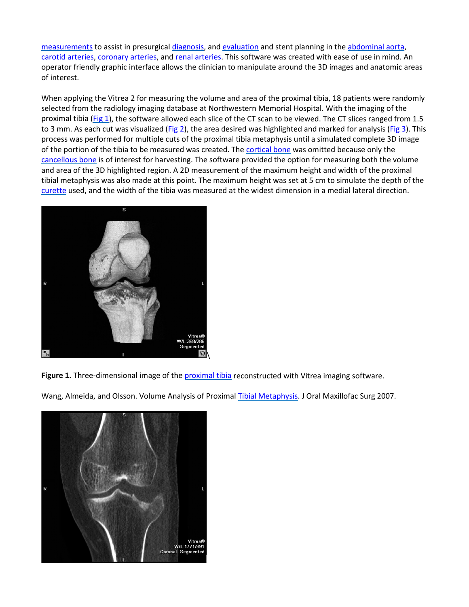[measurements](https://www.sciencedirect.com/topics/medicine-and-dentistry/measurement) to assist in presurgica[l diagnosis,](https://www.sciencedirect.com/topics/medicine-and-dentistry/diagnosis) an[d evaluation](https://www.sciencedirect.com/topics/medicine-and-dentistry/evaluation-study) and stent planning in the [abdominal aorta,](https://www.sciencedirect.com/topics/medicine-and-dentistry/abdominal-aorta) [carotid arteries,](https://www.sciencedirect.com/topics/medicine-and-dentistry/carotid-artery) [coronary arteries,](https://www.sciencedirect.com/topics/medicine-and-dentistry/coronary-artery) and [renal arteries.](https://www.sciencedirect.com/topics/medicine-and-dentistry/renal-artery) This software was created with ease of use in mind. An operator friendly graphic interface allows the clinician to manipulate around the 3D images and anatomic areas of interest.

When applying the Vitrea 2 for measuring the volume and area of the proximal tibia, 18 patients were randomly selected from the radiology imaging database at Northwestern Memorial Hospital. With the imaging of the proximal tibia [\(Fig 1\)](https://www.sciencedirect.com/science/article/pii/S0278239107004776?via%3Dihub#fig1), the software allowed each slice of the CT scan to be viewed. The CT slices ranged from 1.5 to 3 mm. As each cut was visualized [\(Fig 2\)](https://www.sciencedirect.com/science/article/pii/S0278239107004776?via%3Dihub#fig2), the area desired was highlighted and marked for analysis [\(Fig 3\)](https://www.sciencedirect.com/science/article/pii/S0278239107004776?via%3Dihub#fig3). This process was performed for multiple cuts of the proximal tibia metaphysis until a simulated complete 3D image of the portion of the tibia to be measured was created. The [cortical bone](https://www.sciencedirect.com/topics/medicine-and-dentistry/cortical-bone) was omitted because only the [cancellous bone](https://www.sciencedirect.com/topics/medicine-and-dentistry/cancellous-bone) is of interest for harvesting. The software provided the option for measuring both the volume and area of the 3D highlighted region. A 2D measurement of the maximum height and width of the proximal tibial metaphysis was also made at this point. The maximum height was set at 5 cm to simulate the depth of the [curette](https://www.sciencedirect.com/topics/medicine-and-dentistry/curette) used, and the width of the tibia was measured at the widest dimension in a medial lateral direction.



**Figure 1.** Three-dimensional image of the [proximal tibia](https://www.sciencedirect.com/topics/medicine-and-dentistry/proximal-tibia) reconstructed with Vitrea imaging software.

Wang, Almeida, and Olsson. Volume Analysis of Proxima[l Tibial Metaphysis.](https://www.sciencedirect.com/topics/medicine-and-dentistry/tibial-metaphysis) J Oral Maxillofac Surg 2007.

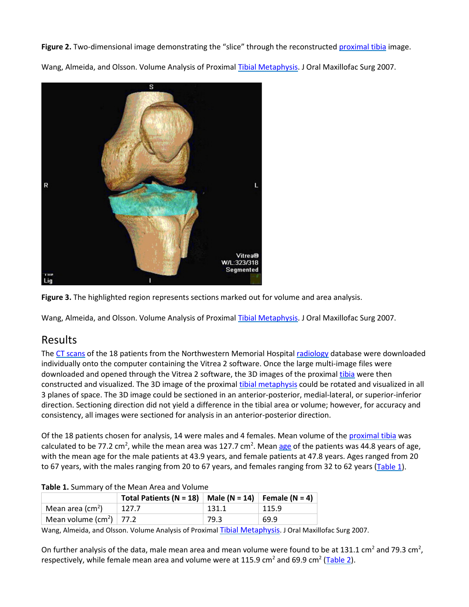Figure 2. Two-dimensional image demonstrating the "slice" through the reconstructed [proximal tibia](https://www.sciencedirect.com/topics/medicine-and-dentistry/proximal-tibia) image.

Wang, Almeida, and Olsson. Volume Analysis of Proxima[l Tibial Metaphysis.](https://www.sciencedirect.com/topics/medicine-and-dentistry/tibial-metaphysis) J Oral Maxillofac Surg 2007.





Wang, Almeida, and Olsson. Volume Analysis of Proxima[l Tibial Metaphysis.](https://www.sciencedirect.com/topics/medicine-and-dentistry/tibial-metaphysis) J Oral Maxillofac Surg 2007.

#### Results

The [CT scans](https://www.sciencedirect.com/topics/medicine-and-dentistry/x-ray-computed-tomography) of the 18 patients from the Northwestern Memorial Hospital [radiology](https://www.sciencedirect.com/topics/medicine-and-dentistry/radiology) database were downloaded individually onto the computer containing the Vitrea 2 software. Once the large multi-image files were downloaded and opened through the Vitrea 2 software, the 3D images of the proxima[l tibia](https://www.sciencedirect.com/topics/medicine-and-dentistry/tibia) were then constructed and visualized. The 3D image of the proxima[l tibial metaphysis](https://www.sciencedirect.com/topics/medicine-and-dentistry/tibial-metaphysis) could be rotated and visualized in all 3 planes of space. The 3D image could be sectioned in an anterior-posterior, medial-lateral, or superior-inferior direction. Sectioning direction did not yield a difference in the tibial area or volume; however, for accuracy and consistency, all images were sectioned for analysis in an anterior-posterior direction.

Of the 18 patients chosen for analysis, 14 were males and 4 females. Mean volume of the [proximal tibia](https://www.sciencedirect.com/topics/medicine-and-dentistry/proximal-tibia) was calculated to be 77.2 cm<sup>2</sup>, while the mean area was 127.7 cm<sup>2</sup>. Mea[n age](https://www.sciencedirect.com/topics/medicine-and-dentistry/age) of the patients was 44.8 years of age, with the mean age for the male patients at 43.9 years, and female patients at 47.8 years. Ages ranged from 20 to 67 years, with the males ranging from 20 to 67 years, and females ranging from 32 to 62 years [\(Table 1\)](https://www.sciencedirect.com/science/article/pii/S0278239107004776?via%3Dihub#tbl1).

| <b>Table 1:</b> Sallillary of the Incall Area and Volume |                                            |                                                          |       |       |  |  |
|----------------------------------------------------------|--------------------------------------------|----------------------------------------------------------|-------|-------|--|--|
|                                                          |                                            | Total Patients (N = 18)   Male (N = 14)   Female (N = 4) |       |       |  |  |
|                                                          | Mean area (cm <sup>2</sup> )               | 127.7                                                    | 131.1 | 115.9 |  |  |
|                                                          | Mean volume (cm <sup>2</sup> ) $\mid$ 77.2 |                                                          | 79.3  | 69.9  |  |  |

**Table 1.** Summary of the Mean Area and Volume

Wang, Almeida, and Olsson. Volume Analysis of Proxima[l Tibial Metaphysis.](https://www.sciencedirect.com/topics/medicine-and-dentistry/tibial-metaphysis) J Oral Maxillofac Surg 2007.

On further analysis of the data, male mean area and mean volume were found to be at 131.1 cm<sup>2</sup> and 79.3 cm<sup>2</sup>, respectively, while female mean area and volume were at 115.9 cm<sup>2</sup> and 69.9 cm<sup>2</sup> [\(Table 2\)](https://www.sciencedirect.com/science/article/pii/S0278239107004776?via%3Dihub#tbl2).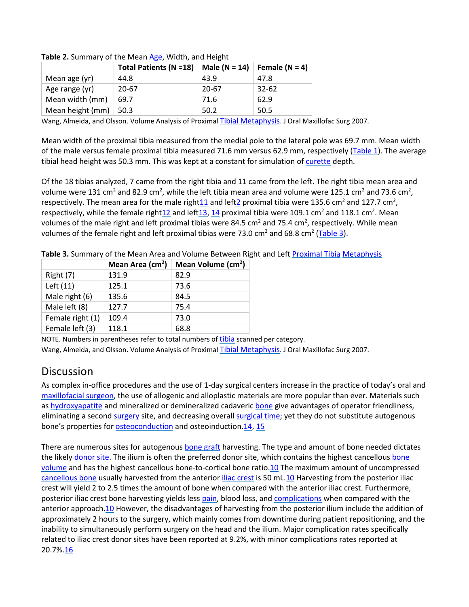|                  | <b>Total Patients (N =18)</b> | Male $(N = 14)$ | Female $(N = 4)$ |  |
|------------------|-------------------------------|-----------------|------------------|--|
| Mean age (yr)    | 44.8                          | 43.9            | 47.8             |  |
| Age range (yr)   | 20-67                         | 20-67           | 32-62            |  |
| Mean width (mm)  | 69.7                          | 71.6            | 62.9             |  |
| Mean height (mm) | 50.3                          | 50.2            | 50.5             |  |

**Table 2.** Summary of the Mean [Age,](https://www.sciencedirect.com/topics/medicine-and-dentistry/age) Width, and Height

Wang, Almeida, and Olsson. Volume Analysis of Proxima[l Tibial Metaphysis.](https://www.sciencedirect.com/topics/medicine-and-dentistry/tibial-metaphysis) J Oral Maxillofac Surg 2007.

Mean width of the proximal tibia measured from the medial pole to the lateral pole was 69.7 mm. Mean width of the male versus female proximal tibia measured 71.6 mm versus 62.9 mm, respectively [\(Table 1\)](https://www.sciencedirect.com/science/article/pii/S0278239107004776?via%3Dihub#tbl1). The average tibial head height was 50.3 mm. This was kept at a constant for simulation of [curette](https://www.sciencedirect.com/topics/medicine-and-dentistry/curette) depth.

Of the 18 tibias analyzed, 7 came from the right tibia and 11 came from the left. The right tibia mean area and volume were 131 cm<sup>2</sup> and 82.9 cm<sup>2</sup>, while the left tibia mean area and volume were 125.1 cm<sup>2</sup> and 73.6 cm<sup>2</sup>, respectively. The mean area for the male right $11$  and left $2$  proximal tibia were 135.6 cm<sup>2</sup> and 127.7 cm<sup>2</sup>, respectively, while the female right $12$  and left $13$ ,  $14$  proximal tibia were 109.1 cm<sup>2</sup> and 118.1 cm<sup>2</sup>. Mean volumes of the male right and left proximal tibias were 84.5 cm<sup>2</sup> and 75.4 cm<sup>2</sup>, respectively. While mean volumes of the female right and left proximal tibias were 73.0 cm<sup>2</sup> and 68.8 cm<sup>2</sup> [\(Table 3\)](https://www.sciencedirect.com/science/article/pii/S0278239107004776?via%3Dihub#tbl3).

|                  | Mean Area $(cm2)$ | Mean Volume (cm <sup>2</sup> ) |
|------------------|-------------------|--------------------------------|
| Right (7)        | 131.9             | 82.9                           |
| Left (11)        | 125.1             | 73.6                           |
| Male right (6)   | 135.6             | 84.5                           |
| Male left (8)    | 127.7             | 75.4                           |
| Female right (1) | 109.4             | 73.0                           |
| Female left (3)  | 118.1             | 68.8                           |

**Table 3.** Summary of the Mean Area and Volume Between Right and Lef[t Proximal Tibia](https://www.sciencedirect.com/topics/medicine-and-dentistry/proximal-tibia) [Metaphysis](https://www.sciencedirect.com/topics/medicine-and-dentistry/metaphysis)

NOTE. Numbers in parentheses refer to total numbers of [tibia](https://www.sciencedirect.com/topics/medicine-and-dentistry/tibia) scanned per category. Wang, Almeida, and Olsson. Volume Analysis of Proxima[l Tibial Metaphysis.](https://www.sciencedirect.com/topics/medicine-and-dentistry/tibial-metaphysis) J Oral Maxillofac Surg 2007.

#### Discussion

As complex in-office procedures and the use of 1-day surgical centers increase in the practice of today's oral and [maxillofacial surgeon,](https://www.sciencedirect.com/topics/medicine-and-dentistry/maxillofacial-surgeon) the use of allogenic and alloplastic materials are more popular than ever. Materials such as [hydroxyapatite](https://www.sciencedirect.com/topics/medicine-and-dentistry/hydroxylapatite) and mineralized or demineralized cadaveri[c bone](https://www.sciencedirect.com/topics/medicine-and-dentistry/bone) give advantages of operator friendliness, eliminating a secon[d surgery](https://www.sciencedirect.com/topics/medicine-and-dentistry/surgery) site, and decreasing overal[l surgical time;](https://www.sciencedirect.com/topics/medicine-and-dentistry/operation-duration) yet they do not substitute autogenous bone's properties for [osteoconduction](https://www.sciencedirect.com/topics/medicine-and-dentistry/bone-conduction) and osteoinduction[.14,](https://www.sciencedirect.com/science/article/pii/S0278239107004776?via%3Dihub#bib14) [15](https://www.sciencedirect.com/science/article/pii/S0278239107004776?via%3Dihub#bib15)

There are numerous sites for autogenous [bone graft](https://www.sciencedirect.com/topics/medicine-and-dentistry/bone-graft) harvesting. The type and amount of bone needed dictates the likely [donor site.](https://www.sciencedirect.com/topics/medicine-and-dentistry/donor-site) The ilium is often the preferred donor site, which contains the highest cancellous bone [volume](https://www.sciencedirect.com/topics/medicine-and-dentistry/bone-mass) and has the highest cancellous bone-to-cortical bone ratio[.10](https://www.sciencedirect.com/science/article/pii/S0278239107004776?via%3Dihub#bib10) The maximum amount of uncompressed [cancellous bone](https://www.sciencedirect.com/topics/medicine-and-dentistry/cancellous-bone) usually harvested from the anterior *iliac crest* is 50 mL[.10](https://www.sciencedirect.com/science/article/pii/S0278239107004776?via%3Dihub#bib10) Harvesting from the posterior iliac crest will yield 2 to 2.5 times the amount of bone when compared with the anterior iliac crest. Furthermore, posterior iliac crest bone harvesting yields les[s pain,](https://www.sciencedirect.com/topics/medicine-and-dentistry/pain) blood loss, and [complications](https://www.sciencedirect.com/topics/medicine-and-dentistry/complication) when compared with the anterior approac[h.10](https://www.sciencedirect.com/science/article/pii/S0278239107004776?via%3Dihub#bib10) However, the disadvantages of harvesting from the posterior ilium include the addition of approximately 2 hours to the surgery, which mainly comes from downtime during patient repositioning, and the inability to simultaneously perform surgery on the head and the ilium. Major complication rates specifically related to iliac crest donor sites have been reported at 9.2%, with minor complications rates reported at 20.7%[.16](https://www.sciencedirect.com/science/article/pii/S0278239107004776?via%3Dihub#bib16)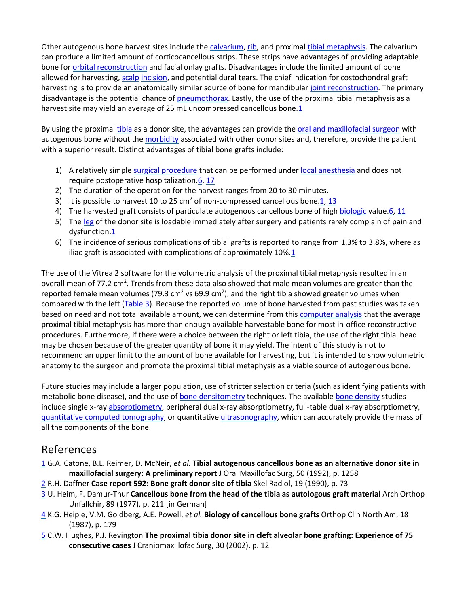Other autogenous bone harvest sites include the [calvarium,](https://www.sciencedirect.com/topics/medicine-and-dentistry/calvaria) [rib,](https://www.sciencedirect.com/topics/medicine-and-dentistry/rib) and proxima[l tibial metaphysis.](https://www.sciencedirect.com/topics/medicine-and-dentistry/tibial-metaphysis) The calvarium can produce a limited amount of corticocancellous strips. These strips have advantages of providing adaptable bone for [orbital reconstruction](https://www.sciencedirect.com/topics/medicine-and-dentistry/orbit-reconstruction) and facial onlay grafts. Disadvantages include the limited amount of bone allowed for harvesting, [scalp](https://www.sciencedirect.com/topics/medicine-and-dentistry/scalp) [incision,](https://www.sciencedirect.com/topics/medicine-and-dentistry/incision) and potential dural tears. The chief indication for costochondral graft harvesting is to provide an anatomically similar source of bone for mandibular [joint reconstruction.](https://www.sciencedirect.com/topics/medicine-and-dentistry/arthroplasty) The primary disadvantage is the potential chance of [pneumothorax.](https://www.sciencedirect.com/topics/medicine-and-dentistry/pneumothorax) Lastly, the use of the proximal tibial metaphysis as a harvest site may yield an average of 25 mL uncompressed cancellous bone[.1](https://www.sciencedirect.com/science/article/pii/S0278239107004776?via%3Dihub#bib1)

By using the proxima[l tibia](https://www.sciencedirect.com/topics/medicine-and-dentistry/tibia) as a donor site, the advantages can provide th[e oral and maxillofacial surgeon](https://www.sciencedirect.com/topics/medicine-and-dentistry/oral-surgeon) with autogenous bone without th[e morbidity](https://www.sciencedirect.com/topics/medicine-and-dentistry/morbidity) associated with other donor sites and, therefore, provide the patient with a superior result. Distinct advantages of tibial bone grafts include:

- 1) A relatively simpl[e surgical procedure](https://www.sciencedirect.com/topics/medicine-and-dentistry/surgical-technique) that can be performed unde[r local anesthesia](https://www.sciencedirect.com/topics/medicine-and-dentistry/local-anesthesia) and does not require postoperative hospitalization[.6,](https://www.sciencedirect.com/science/article/pii/S0278239107004776?via%3Dihub#bib6) [17](https://www.sciencedirect.com/science/article/pii/S0278239107004776?via%3Dihub#bib17)
- 2) The duration of the operation for the harvest ranges from 20 to 30 minutes.
- 3) It is possible to harvest 10 to 25 cm<sup>2</sup> of non-compressed cancellous bone[.1,](https://www.sciencedirect.com/science/article/pii/S0278239107004776?via%3Dihub#bib1) [13](https://www.sciencedirect.com/science/article/pii/S0278239107004776?via%3Dihub#bib13)
- 4) The harvested graft consists of particulate autogenous cancellous bone of hig[h biologic](https://www.sciencedirect.com/topics/medicine-and-dentistry/biological-product) valu[e.6,](https://www.sciencedirect.com/science/article/pii/S0278239107004776?via%3Dihub#bib6) [11](https://www.sciencedirect.com/science/article/pii/S0278239107004776?via%3Dihub#bib11)
- 5) The [leg](https://www.sciencedirect.com/topics/medicine-and-dentistry/leg) of the donor site is loadable immediately after surgery and patients rarely complain of pain and dysfunction[.1](https://www.sciencedirect.com/science/article/pii/S0278239107004776?via%3Dihub#bib1)
- 6) The incidence of serious complications of tibial grafts is reported to range from 1.3% to 3.8%, where as iliac graft is associated with complications of approximately  $10\%.\overline{1}$

The use of the Vitrea 2 software for the volumetric analysis of the proximal tibial metaphysis resulted in an overall mean of 77.2 cm<sup>2</sup>. Trends from these data also showed that male mean volumes are greater than the reported female mean volumes (79.3 cm<sup>2</sup> vs 69.9 cm<sup>2</sup>), and the right tibia showed greater volumes when compared with the left [\(Table 3\)](https://www.sciencedirect.com/science/article/pii/S0278239107004776?via%3Dihub#tbl3). Because the reported volume of bone harvested from past studies was taken based on need and not total available amount, we can determine from thi[s computer analysis](https://www.sciencedirect.com/topics/medicine-and-dentistry/computer-analysis) that the average proximal tibial metaphysis has more than enough available harvestable bone for most in-office reconstructive procedures. Furthermore, if there were a choice between the right or left tibia, the use of the right tibial head may be chosen because of the greater quantity of bone it may yield. The intent of this study is not to recommend an upper limit to the amount of bone available for harvesting, but it is intended to show volumetric anatomy to the surgeon and promote the proximal tibial metaphysis as a viable source of autogenous bone.

Future studies may include a larger population, use of stricter selection criteria (such as identifying patients with metabolic bone disease), and the use o[f bone densitometry](https://www.sciencedirect.com/topics/medicine-and-dentistry/bone-densitometry) techniques. The available [bone density](https://www.sciencedirect.com/topics/medicine-and-dentistry/bone-density) studies include single x-ray [absorptiometry,](https://www.sciencedirect.com/topics/medicine-and-dentistry/absorptiometry) peripheral dual x-ray absorptiometry, full-table dual x-ray absorptiometry, [quantitative computed tomography,](https://www.sciencedirect.com/topics/medicine-and-dentistry/quantitative-computed-tomography) or quantitative [ultrasonography,](https://www.sciencedirect.com/topics/medicine-and-dentistry/echography) which can accurately provide the mass of all the components of the bone.

#### References

- [1](https://www.sciencedirect.com/science/article/pii/S0278239107004776?via%3Dihub#bbib1) G.A. Catone, B.L. Reimer, D. McNeir, *et al.* **Tibial autogenous cancellous bone as an alternative donor site in maxillofacial surgery: A preliminary report** J Oral Maxillofac Surg, 50 (1992), p. 1258
- [2](https://www.sciencedirect.com/science/article/pii/S0278239107004776?via%3Dihub#bbib2) R.H. Daffner **Case report 592: Bone graft donor site of tibia** Skel Radiol, 19 (1990), p. 73
- [3](https://www.sciencedirect.com/science/article/pii/S0278239107004776?via%3Dihub#bbib3) U. Heim, F. Damur-Thur **Cancellous bone from the head of the tibia as autologous graft material** Arch Orthop Unfallchir, 89 (1977), p. 211 [in German]
- [4](https://www.sciencedirect.com/science/article/pii/S0278239107004776?via%3Dihub#bbib4) K.G. Heiple, V.M. Goldberg, A.E. Powell, *et al.* **Biology of cancellous bone grafts** Orthop Clin North Am, 18 (1987), p. 179
- [5](https://www.sciencedirect.com/science/article/pii/S0278239107004776?via%3Dihub#bbib5) C.W. Hughes, P.J. Revington **The proximal tibia donor site in cleft alveolar bone grafting: Experience of 75 consecutive cases** J Craniomaxillofac Surg, 30 (2002), p. 12